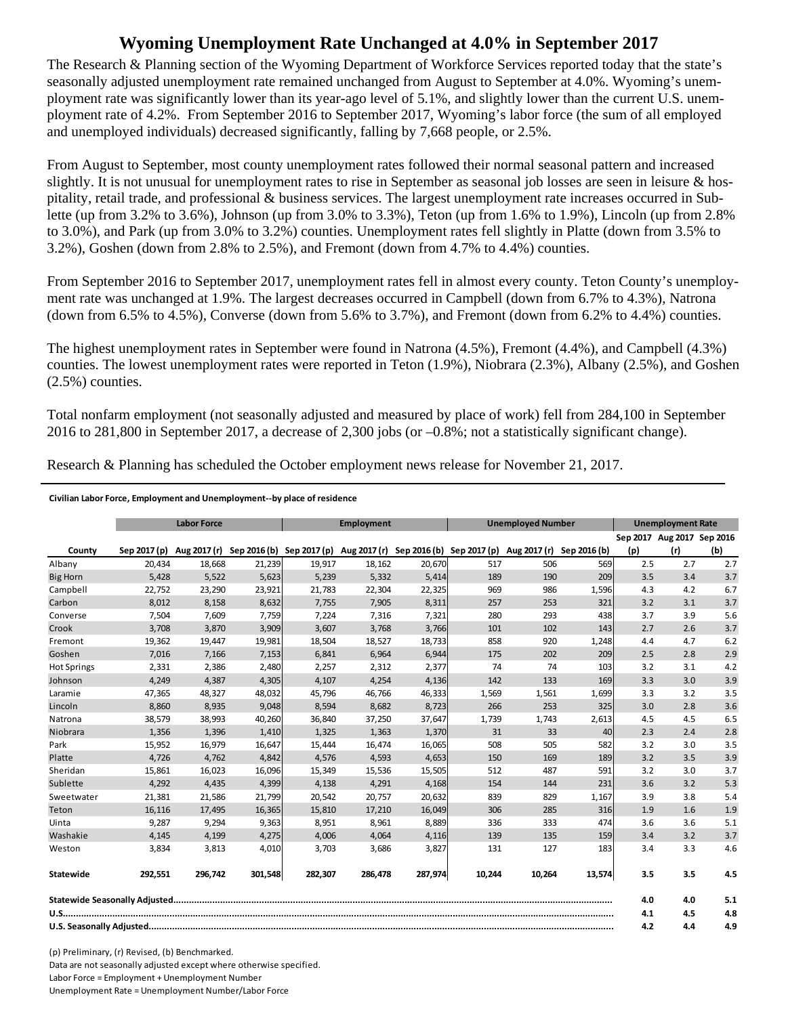## **Wyoming Unemployment Rate Unchanged at 4.0% in September 2017**

The Research & Planning section of the Wyoming Department of Workforce Services reported today that the state's seasonally adjusted unemployment rate remained unchanged from August to September at 4.0%. Wyoming's unemployment rate was significantly lower than its year-ago level of 5.1%, and slightly lower than the current U.S. unemployment rate of 4.2%. From September 2016 to September 2017, Wyoming's labor force (the sum of all employed and unemployed individuals) decreased significantly, falling by 7,668 people, or 2.5%.

From August to September, most county unemployment rates followed their normal seasonal pattern and increased slightly. It is not unusual for unemployment rates to rise in September as seasonal job losses are seen in leisure  $\&$  hospitality, retail trade, and professional & business services. The largest unemployment rate increases occurred in Sublette (up from 3.2% to 3.6%), Johnson (up from 3.0% to 3.3%), Teton (up from 1.6% to 1.9%), Lincoln (up from 2.8% to 3.0%), and Park (up from 3.0% to 3.2%) counties. Unemployment rates fell slightly in Platte (down from 3.5% to 3.2%), Goshen (down from 2.8% to 2.5%), and Fremont (down from 4.7% to 4.4%) counties.

From September 2016 to September 2017, unemployment rates fell in almost every county. Teton County's unemployment rate was unchanged at 1.9%. The largest decreases occurred in Campbell (down from 6.7% to 4.3%), Natrona (down from 6.5% to 4.5%), Converse (down from 5.6% to 3.7%), and Fremont (down from 6.2% to 4.4%) counties.

The highest unemployment rates in September were found in Natrona (4.5%), Fremont (4.4%), and Campbell (4.3%) counties. The lowest unemployment rates were reported in Teton (1.9%), Niobrara (2.3%), Albany (2.5%), and Goshen (2.5%) counties.

Total nonfarm employment (not seasonally adjusted and measured by place of work) fell from 284,100 in September 2016 to 281,800 in September 2017, a decrease of 2,300 jobs (or –0.8%; not a statistically significant change).

Research & Planning has scheduled the October employment news release for November 21, 2017.

## **Civilian Labor Force, Employment and Unemployment‐‐by place of residence**

|                    |              | <b>Labor Force</b><br><b>Unemployed Number</b><br>Employment |         |                                                                                            | <b>Unemployment Rate</b> |         |        |        |              |     |                            |     |
|--------------------|--------------|--------------------------------------------------------------|---------|--------------------------------------------------------------------------------------------|--------------------------|---------|--------|--------|--------------|-----|----------------------------|-----|
|                    |              |                                                              |         |                                                                                            |                          |         |        |        |              |     | Sep 2017 Aug 2017 Sep 2016 |     |
| County             | Sep 2017 (p) |                                                              |         | Aug 2017 (r) Sep 2016 (b) Sep 2017 (p) Aug 2017 (r) Sep 2016 (b) Sep 2017 (p) Aug 2017 (r) |                          |         |        |        | Sep 2016 (b) | (p) | (r)                        | (b) |
| Albany             | 20.434       | 18,668                                                       | 21,239  | 19,917                                                                                     | 18,162                   | 20,670  | 517    | 506    | 569          | 2.5 | 2.7                        | 2.7 |
| <b>Big Horn</b>    | 5,428        | 5,522                                                        | 5,623   | 5,239                                                                                      | 5,332                    | 5,414   | 189    | 190    | 209          | 3.5 | 3.4                        | 3.7 |
| Campbell           | 22,752       | 23,290                                                       | 23,921  | 21,783                                                                                     | 22,304                   | 22,325  | 969    | 986    | 1,596        | 4.3 | 4.2                        | 6.7 |
| Carbon             | 8,012        | 8,158                                                        | 8,632   | 7,755                                                                                      | 7,905                    | 8,311   | 257    | 253    | 321          | 3.2 | 3.1                        | 3.7 |
| Converse           | 7,504        | 7,609                                                        | 7,759   | 7,224                                                                                      | 7,316                    | 7,321   | 280    | 293    | 438          | 3.7 | 3.9                        | 5.6 |
| Crook              | 3,708        | 3,870                                                        | 3,909   | 3,607                                                                                      | 3,768                    | 3,766   | 101    | 102    | 143          | 2.7 | 2.6                        | 3.7 |
| Fremont            | 19,362       | 19,447                                                       | 19,981  | 18,504                                                                                     | 18,527                   | 18,733  | 858    | 920    | 1,248        | 4.4 | 4.7                        | 6.2 |
| Goshen             | 7.016        | 7.166                                                        | 7,153   | 6.841                                                                                      | 6.964                    | 6.944   | 175    | 202    | 209          | 2.5 | 2.8                        | 2.9 |
| <b>Hot Springs</b> | 2,331        | 2,386                                                        | 2,480   | 2,257                                                                                      | 2,312                    | 2,377   | 74     | 74     | 103          | 3.2 | 3.1                        | 4.2 |
| Johnson            | 4,249        | 4,387                                                        | 4,305   | 4,107                                                                                      | 4,254                    | 4,136   | 142    | 133    | 169          | 3.3 | 3.0                        | 3.9 |
| Laramie            | 47,365       | 48,327                                                       | 48,032  | 45,796                                                                                     | 46,766                   | 46,333  | 1,569  | 1,561  | 1,699        | 3.3 | 3.2                        | 3.5 |
| Lincoln            | 8,860        | 8,935                                                        | 9,048   | 8,594                                                                                      | 8,682                    | 8,723   | 266    | 253    | 325          | 3.0 | 2.8                        | 3.6 |
| Natrona            | 38,579       | 38,993                                                       | 40,260  | 36,840                                                                                     | 37,250                   | 37,647  | 1,739  | 1,743  | 2,613        | 4.5 | 4.5                        | 6.5 |
| Niobrara           | 1,356        | 1,396                                                        | 1,410   | 1,325                                                                                      | 1,363                    | 1,370   | 31     | 33     | 40           | 2.3 | 2.4                        | 2.8 |
| Park               | 15,952       | 16,979                                                       | 16,647  | 15,444                                                                                     | 16,474                   | 16,065  | 508    | 505    | 582          | 3.2 | 3.0                        | 3.5 |
| Platte             | 4,726        | 4,762                                                        | 4,842   | 4,576                                                                                      | 4,593                    | 4,653   | 150    | 169    | 189          | 3.2 | 3.5                        | 3.9 |
| Sheridan           | 15,861       | 16,023                                                       | 16,096  | 15,349                                                                                     | 15,536                   | 15,505  | 512    | 487    | 591          | 3.2 | 3.0                        | 3.7 |
| Sublette           | 4,292        | 4,435                                                        | 4,399   | 4,138                                                                                      | 4,291                    | 4,168   | 154    | 144    | 231          | 3.6 | 3.2                        | 5.3 |
| Sweetwater         | 21,381       | 21.586                                                       | 21,799  | 20.542                                                                                     | 20,757                   | 20,632  | 839    | 829    | 1,167        | 3.9 | 3.8                        | 5.4 |
| Teton              | 16,116       | 17,495                                                       | 16,365  | 15,810                                                                                     | 17,210                   | 16,049  | 306    | 285    | 316          | 1.9 | 1.6                        | 1.9 |
| Uinta              | 9,287        | 9,294                                                        | 9,363   | 8,951                                                                                      | 8,961                    | 8,889   | 336    | 333    | 474          | 3.6 | 3.6                        | 5.1 |
| Washakie           | 4,145        | 4,199                                                        | 4,275   | 4,006                                                                                      | 4,064                    | 4,116   | 139    | 135    | 159          | 3.4 | 3.2                        | 3.7 |
| Weston             | 3,834        | 3,813                                                        | 4,010   | 3,703                                                                                      | 3,686                    | 3,827   | 131    | 127    | 183          | 3.4 | 3.3                        | 4.6 |
| Statewide          | 292,551      | 296,742                                                      | 301,548 | 282,307                                                                                    | 286,478                  | 287,974 | 10,244 | 10,264 | 13,574       | 3.5 | 3.5                        | 4.5 |
|                    |              |                                                              |         |                                                                                            |                          |         |        | 4.0    | 4.0          | 5.1 |                            |     |
|                    |              |                                                              |         |                                                                                            |                          |         |        | 4.1    | 4.5          | 4.8 |                            |     |
|                    |              |                                                              |         |                                                                                            |                          |         |        | 4.2    | 4.4          | 4.9 |                            |     |

(p) Preliminary, (r) Revised, (b) Benchmarked. Data are not seasonally adjusted except where otherwise specified. Labor Force = Employment + Unemployment Number Unemployment Rate = Unemployment Number/Labor Force